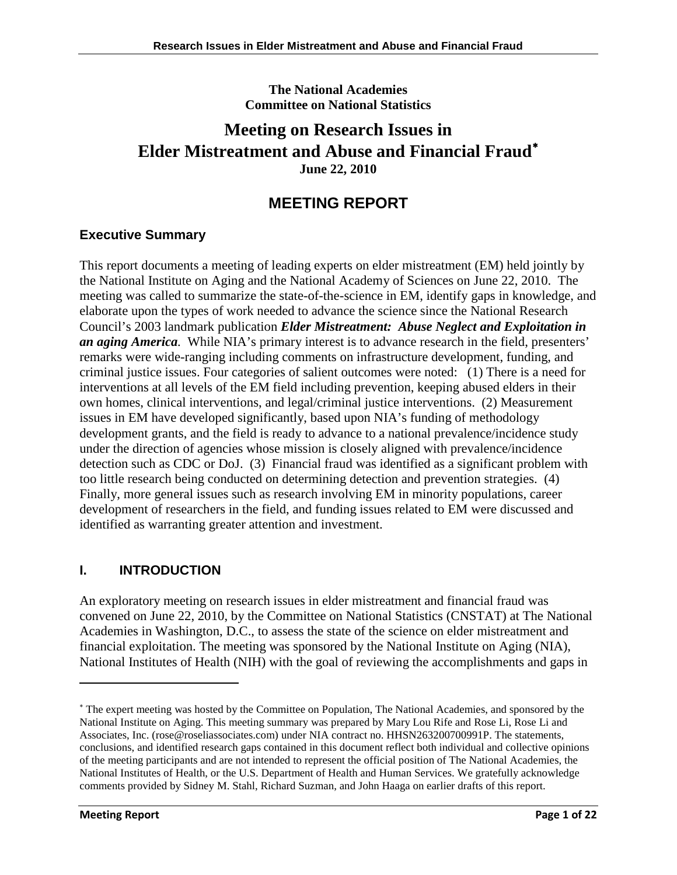**The National Academies Committee on National Statistics**

# **Meeting on Research Issues in Elder Mistreatment and Abuse and Financial Fraud**[∗](#page-0-0) **June 22, 2010**

# **MEETING REPORT**

# **Executive Summary**

This report documents a meeting of leading experts on elder mistreatment (EM) held jointly by the National Institute on Aging and the National Academy of Sciences on June 22, 2010. The meeting was called to summarize the state-of-the-science in EM, identify gaps in knowledge, and elaborate upon the types of work needed to advance the science since the National Research Council's 2003 landmark publication *Elder Mistreatment: Abuse Neglect and Exploitation in an aging America.* While NIA's primary interest is to advance research in the field, presenters' remarks were wide-ranging including comments on infrastructure development, funding, and criminal justice issues. Four categories of salient outcomes were noted: (1) There is a need for interventions at all levels of the EM field including prevention, keeping abused elders in their own homes, clinical interventions, and legal/criminal justice interventions. (2) Measurement issues in EM have developed significantly, based upon NIA's funding of methodology development grants, and the field is ready to advance to a national prevalence/incidence study under the direction of agencies whose mission is closely aligned with prevalence/incidence detection such as CDC or DoJ. (3) Financial fraud was identified as a significant problem with too little research being conducted on determining detection and prevention strategies. (4) Finally, more general issues such as research involving EM in minority populations, career development of researchers in the field, and funding issues related to EM were discussed and identified as warranting greater attention and investment.

# **I. INTRODUCTION**

An exploratory meeting on research issues in elder mistreatment and financial fraud was convened on June 22, 2010, by the Committee on National Statistics (CNSTAT) at The National Academies in Washington, D.C., to assess the state of the science on elder mistreatment and financial exploitation. The meeting was sponsored by the National Institute on Aging (NIA), National Institutes of Health (NIH) with the goal of reviewing the accomplishments and gaps in

<span id="page-0-0"></span><sup>∗</sup> The expert meeting was hosted by the Committee on Population, The National Academies, and sponsored by the National Institute on Aging. This meeting summary was prepared by Mary Lou Rife and Rose Li, Rose Li and Associates, Inc. [\(rose@roseliassociates.com\)](mailto:rose@roseliassociates.com) under NIA contract no. HHSN263200700991P. The statements, conclusions, and identified research gaps contained in this document reflect both individual and collective opinions of the meeting participants and are not intended to represent the official position of The National Academies, the National Institutes of Health, or the U.S. Department of Health and Human Services. We gratefully acknowledge comments provided by Sidney M. Stahl, Richard Suzman, and John Haaga on earlier drafts of this report.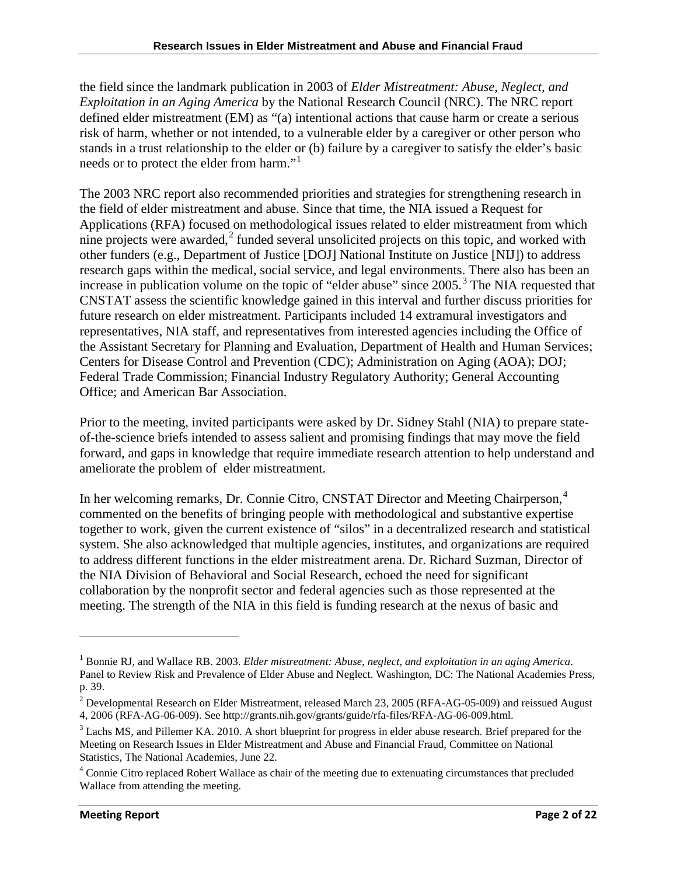the field since the landmark publication in 2003 of *Elder Mistreatment: Abuse, Neglect, and Exploitation in an Aging America* by the National Research Council (NRC). The NRC report defined elder mistreatment (EM) as "(a) intentional actions that cause harm or create a serious risk of harm, whether or not intended, to a vulnerable elder by a caregiver or other person who stands in a trust relationship to the elder or (b) failure by a caregiver to satisfy the elder's basic needs or to protect the elder from harm."<sup>[1](#page-1-0)</sup>

The 2003 NRC report also recommended priorities and strategies for strengthening research in the field of elder mistreatment and abuse. Since that time, the NIA issued a Request for Applications (RFA) focused on methodological issues related to elder mistreatment from which nine projects were awarded, $2$  funded several unsolicited projects on this topic, and worked with other funders (e.g., Department of Justice [DOJ] National Institute on Justice [NIJ]) to address research gaps within the medical, social service, and legal environments. There also has been an increase in publication volume on the topic of "elder abuse" since  $2005$ .<sup>[3](#page-1-2)</sup> The NIA requested that CNSTAT assess the scientific knowledge gained in this interval and further discuss priorities for future research on elder mistreatment. Participants included 14 extramural investigators and representatives, NIA staff, and representatives from interested agencies including the Office of the Assistant Secretary for Planning and Evaluation, Department of Health and Human Services; Centers for Disease Control and Prevention (CDC); Administration on Aging (AOA); DOJ; Federal Trade Commission; Financial Industry Regulatory Authority; General Accounting Office; and American Bar Association.

Prior to the meeting, invited participants were asked by Dr. Sidney Stahl (NIA) to prepare stateof-the-science briefs intended to assess salient and promising findings that may move the field forward, and gaps in knowledge that require immediate research attention to help understand and ameliorate the problem of elder mistreatment.

In her welcoming remarks, Dr. Connie Citro, CNSTAT Director and Meeting Chairperson,<sup>[4](#page-1-3)</sup> commented on the benefits of bringing people with methodological and substantive expertise together to work, given the current existence of "silos" in a decentralized research and statistical system. She also acknowledged that multiple agencies, institutes, and organizations are required to address different functions in the elder mistreatment arena. Dr. Richard Suzman, Director of the NIA Division of Behavioral and Social Research, echoed the need for significant collaboration by the nonprofit sector and federal agencies such as those represented at the meeting. The strength of the NIA in this field is funding research at the nexus of basic and

<span id="page-1-0"></span><sup>1</sup> Bonnie RJ, and Wallace RB. 2003. *Elder mistreatment: Abuse, neglect, and exploitation in an aging America*. Panel to Review Risk and Prevalence of Elder Abuse and Neglect. Washington, DC: The National Academies Press, p. 39.

<span id="page-1-1"></span> $2$  Developmental Research on Elder Mistreatment, released March 23, 2005 (RFA-AG-05-009) and reissued August 4, 2006 (RFA-AG-06-009). See http://grants.nih.gov/grants/guide/rfa-files/RFA-AG-06-009.html.<br><sup>3</sup> Lachs MS, and Pillemer KA. 2010. A short blueprint for progress in elder abuse research. Brief prepared for the

<span id="page-1-2"></span>Meeting on Research Issues in Elder Mistreatment and Abuse and Financial Fraud, Committee on National Statistics, The National Academies, June 22.

<span id="page-1-3"></span><sup>4</sup> Connie Citro replaced Robert Wallace as chair of the meeting due to extenuating circumstances that precluded Wallace from attending the meeting.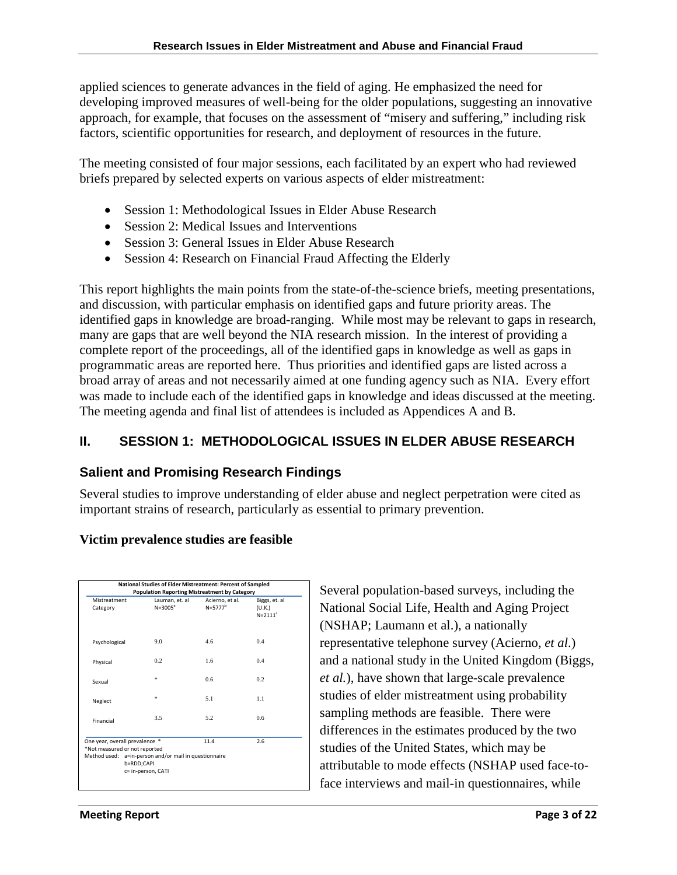applied sciences to generate advances in the field of aging. He emphasized the need for developing improved measures of well-being for the older populations, suggesting an innovative approach, for example, that focuses on the assessment of "misery and suffering," including risk factors, scientific opportunities for research, and deployment of resources in the future.

The meeting consisted of four major sessions, each facilitated by an expert who had reviewed briefs prepared by selected experts on various aspects of elder mistreatment:

- Session 1: Methodological Issues in Elder Abuse Research
- Session 2: Medical Issues and Interventions
- Session 3: General Issues in Elder Abuse Research
- Session 4: Research on Financial Fraud Affecting the Elderly

This report highlights the main points from the state-of-the-science briefs, meeting presentations, and discussion, with particular emphasis on identified gaps and future priority areas. The identified gaps in knowledge are broad-ranging. While most may be relevant to gaps in research, many are gaps that are well beyond the NIA research mission. In the interest of providing a complete report of the proceedings, all of the identified gaps in knowledge as well as gaps in programmatic areas are reported here. Thus priorities and identified gaps are listed across a broad array of areas and not necessarily aimed at one funding agency such as NIA. Every effort was made to include each of the identified gaps in knowledge and ideas discussed at the meeting. The meeting agenda and final list of attendees is included as Appendices A and B.

# **II. SESSION 1: METHODOLOGICAL ISSUES IN ELDER ABUSE RESEARCH**

# **Salient and Promising Research Findings**

Several studies to improve understanding of elder abuse and neglect perpetration were cited as important strains of research, particularly as essential to primary prevention.

## **Victim prevalence studies are feasible**

| Mistreatment<br>Category                                        | Lauman, et. al<br>$N = 3005^a$                                                            | Acierno, et al.<br>$N = 5777^b$ | Biggs, et. al<br>(U.K.) |
|-----------------------------------------------------------------|-------------------------------------------------------------------------------------------|---------------------------------|-------------------------|
|                                                                 |                                                                                           |                                 | $N=2111^c$              |
| Psychological                                                   | 9.0                                                                                       | 4.6                             | 0.4                     |
| Physical                                                        | 0.2                                                                                       | 1.6                             | 0.4                     |
| Sexual                                                          | ŵ.                                                                                        | 0.6 <sup>2</sup>                | 0.2                     |
| Neglect                                                         | ź.                                                                                        | 5.1                             | 1.1                     |
| Financial                                                       | 3.5                                                                                       | 5.2                             | 0.6                     |
| One year, overall prevalence *<br>*Not measured or not reported |                                                                                           | 11.4                            | 2.6                     |
|                                                                 | Method used: a=in-person and/or mail in questionnaire<br>b=RDD;CAPI<br>c= in-person, CATI |                                 |                         |

Several population-based surveys, including the National Social Life, Health and Aging Project (NSHAP; Laumann et al.), a nationally representative telephone survey (Acierno, *et al*.) and a national study in the United Kingdom (Biggs, *et al.*), have shown that large-scale prevalence studies of elder mistreatment using probability sampling methods are feasible. There were differences in the estimates produced by the two studies of the United States, which may be attributable to mode effects (NSHAP used face-toface interviews and mail-in questionnaires, while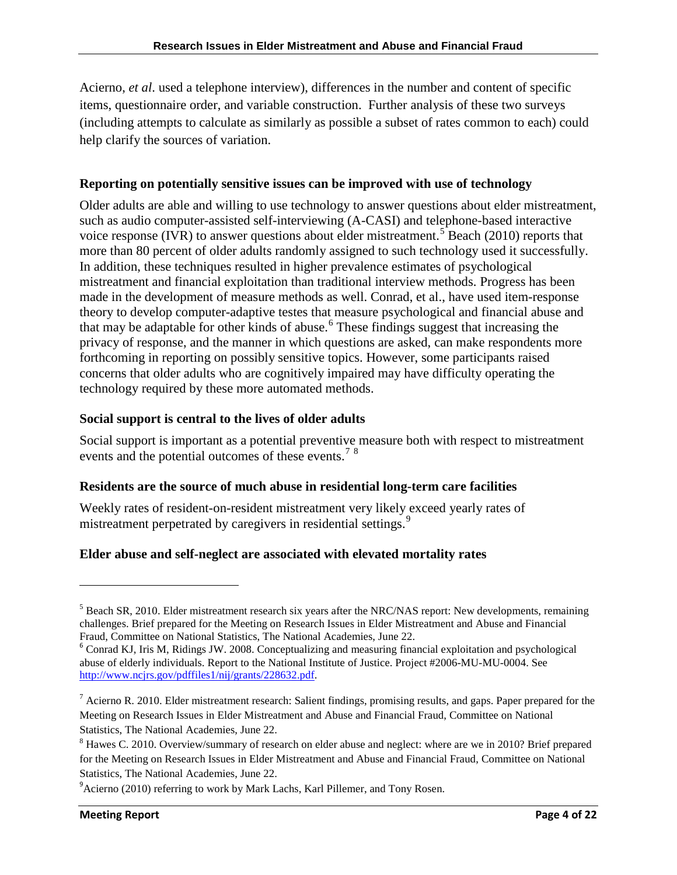Acierno, *et al*. used a telephone interview), differences in the number and content of specific items, questionnaire order, and variable construction. Further analysis of these two surveys (including attempts to calculate as similarly as possible a subset of rates common to each) could help clarify the sources of variation.

#### **Reporting on potentially sensitive issues can be improved with use of technology**

Older adults are able and willing to use technology to answer questions about elder mistreatment, such as audio computer-assisted self-interviewing (A-CASI) and telephone-based interactive voice response (IVR) to answer questions about elder mistreatment.<sup>[5](#page-3-0)</sup> Beach (2010) reports that more than 80 percent of older adults randomly assigned to such technology used it successfully. In addition, these techniques resulted in higher prevalence estimates of psychological mistreatment and financial exploitation than traditional interview methods. Progress has been made in the development of measure methods as well. Conrad, et al., have used item-response theory to develop computer-adaptive testes that measure psychological and financial abuse and that may be adaptable for other kinds of abuse.<sup>[6](#page-3-1)</sup> These findings suggest that increasing the privacy of response, and the manner in which questions are asked, can make respondents more forthcoming in reporting on possibly sensitive topics. However, some participants raised concerns that older adults who are cognitively impaired may have difficulty operating the technology required by these more automated methods.

#### **Social support is central to the lives of older adults**

Social support is important as a potential preventive measure both with respect to mistreatment events and the potential outcomes of these events.<sup>[7](#page-3-2)[8](#page-3-3)</sup>

## **Residents are the source of much abuse in residential long-term care facilities**

Weekly rates of resident-on-resident mistreatment very likely exceed yearly rates of mistreatment perpetrated by caregivers in residential settings.<sup>[9](#page-3-4)</sup>

## **Elder abuse and self-neglect are associated with elevated mortality rates**

<span id="page-3-0"></span><sup>&</sup>lt;sup>5</sup> Beach SR, 2010. Elder mistreatment research six years after the NRC/NAS report: New developments, remaining challenges. Brief prepared for the Meeting on Research Issues in Elder Mistreatment and Abuse and Financial

<span id="page-3-1"></span> $<sup>6</sup>$  Conrad KJ, Iris M, Ridings JW. 2008. Conceptualizing and measuring financial exploitation and psychological</sup> abuse of elderly individuals. Report to the National Institute of Justice. Project #2006-MU-MU-0004. See [http://www.ncjrs.gov/pdffiles1/nij/grants/228632.pdf.](http://www.ncjrs.gov/pdffiles1/nij/grants/228632.pdf)

<span id="page-3-2"></span> $^7$  Acierno R. 2010. Elder mistreatment research: Salient findings, promising results, and gaps. Paper prepared for the Meeting on Research Issues in Elder Mistreatment and Abuse and Financial Fraud, Committee on National Statistics, The National Academies, June 22.

<span id="page-3-3"></span><sup>&</sup>lt;sup>8</sup> Hawes C. 2010. Overview/summary of research on elder abuse and neglect: where are we in 2010? Brief prepared for the Meeting on Research Issues in Elder Mistreatment and Abuse and Financial Fraud, Committee on National Statistics, The National Academies, June 22.

<span id="page-3-4"></span><sup>&</sup>lt;sup>9</sup> Acierno (2010) referring to work by Mark Lachs, Karl Pillemer, and Tony Rosen.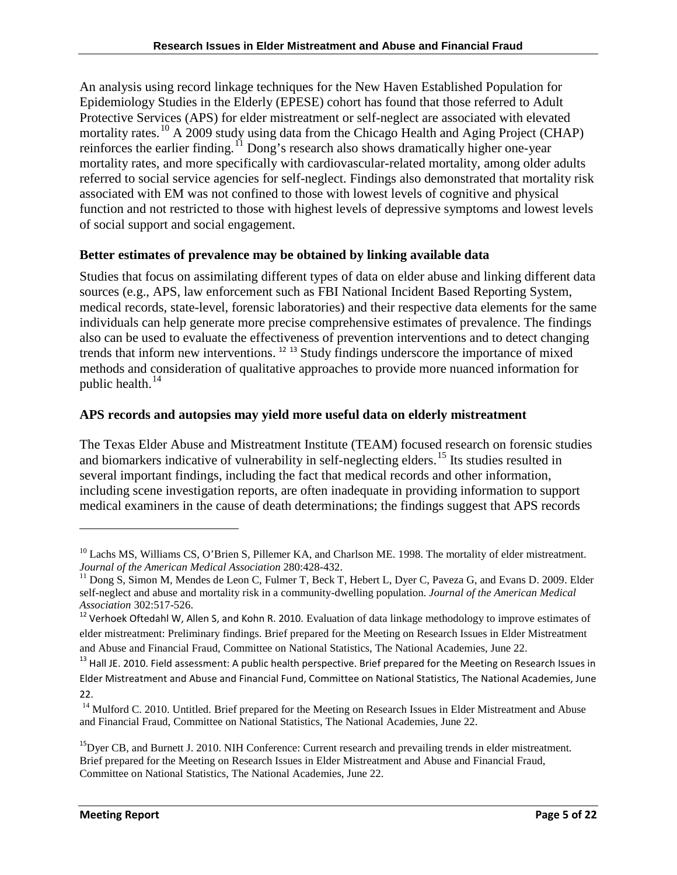An analysis using record linkage techniques for the New Haven Established Population for Epidemiology Studies in the Elderly (EPESE) cohort has found that those referred to Adult Protective Services (APS) for elder mistreatment or self-neglect are associated with elevated mortality rates.<sup>[10](#page-4-0)</sup> A 2009 study using data from the Chicago Health and Aging Project (CHAP) reinforces the earlier finding.<sup>[11](#page-4-1)</sup> Dong's research also shows dramatically higher one-year mortality rates, and more specifically with cardiovascular-related mortality, among older adults referred to social service agencies for self-neglect. Findings also demonstrated that mortality risk associated with EM was not confined to those with lowest levels of cognitive and physical function and not restricted to those with highest levels of depressive symptoms and lowest levels of social support and social engagement.

## **Better estimates of prevalence may be obtained by linking available data**

Studies that focus on assimilating different types of data on elder abuse and linking different data sources (e.g., APS, law enforcement such as FBI National Incident Based Reporting System, medical records, state-level, forensic laboratories) and their respective data elements for the same individuals can help generate more precise comprehensive estimates of prevalence. The findings also can be used to evaluate the effectiveness of prevention interventions and to detect changing trends that inform new interventions.<sup>[12](#page-4-2) [13](#page-4-3)</sup> Study findings underscore the importance of mixed methods and consideration of qualitative approaches to provide more nuanced information for public health.<sup>[14](#page-4-4)</sup>

## **APS records and autopsies may yield more useful data on elderly mistreatment**

The Texas Elder Abuse and Mistreatment Institute (TEAM) focused research on forensic studies and biomarkers indicative of vulnerability in self-neglecting elders.<sup>[15](#page-4-5)</sup> Its studies resulted in several important findings, including the fact that medical records and other information, including scene investigation reports, are often inadequate in providing information to support medical examiners in the cause of death determinations; the findings suggest that APS records

<span id="page-4-0"></span><sup>&</sup>lt;sup>10</sup> Lachs MS, Williams CS, O'Brien S, Pillemer KA, and Charlson ME. 1998. The mortality of elder mistreatment. *Journal of the American Medical Association* 280:428-432.

<span id="page-4-1"></span><sup>&</sup>lt;sup>11</sup> Dong S, Simon M, Mendes de Leon C, Fulmer T, Beck T, Hebert L, Dyer C, Paveza G, and Evans D. 2009. Elder self-neglect and abuse and mortality risk in a community-dwelling population. *Journal of the American Medical* 

<span id="page-4-2"></span><sup>&</sup>lt;sup>12</sup> Verhoek Oftedahl W, Allen S, and Kohn R. 2010. Evaluation of data linkage methodology to improve estimates of elder mistreatment: Preliminary findings. Brief prepared for the Meeting on Research Issues in Elder Mistreatment and Abuse and Financial Fraud, Committee on National Statistics, The National Academies, June 22.

<span id="page-4-3"></span><sup>&</sup>lt;sup>13</sup> Hall JE. 2010. Field assessment: A public health perspective. Brief prepared for the Meeting on Research Issues in Elder Mistreatment and Abuse and Financial Fund, Committee on National Statistics, The National Academies, June 22.

<span id="page-4-4"></span><sup>&</sup>lt;sup>14</sup> Mulford C. 2010. Untitled. Brief prepared for the Meeting on Research Issues in Elder Mistreatment and Abuse and Financial Fraud, Committee on National Statistics, The National Academies, June 22.

<span id="page-4-5"></span><sup>&</sup>lt;sup>15</sup>Dyer CB, and Burnett J. 2010. NIH Conference: Current research and prevailing trends in elder mistreatment. Brief prepared for the Meeting on Research Issues in Elder Mistreatment and Abuse and Financial Fraud, Committee on National Statistics, The National Academies, June 22.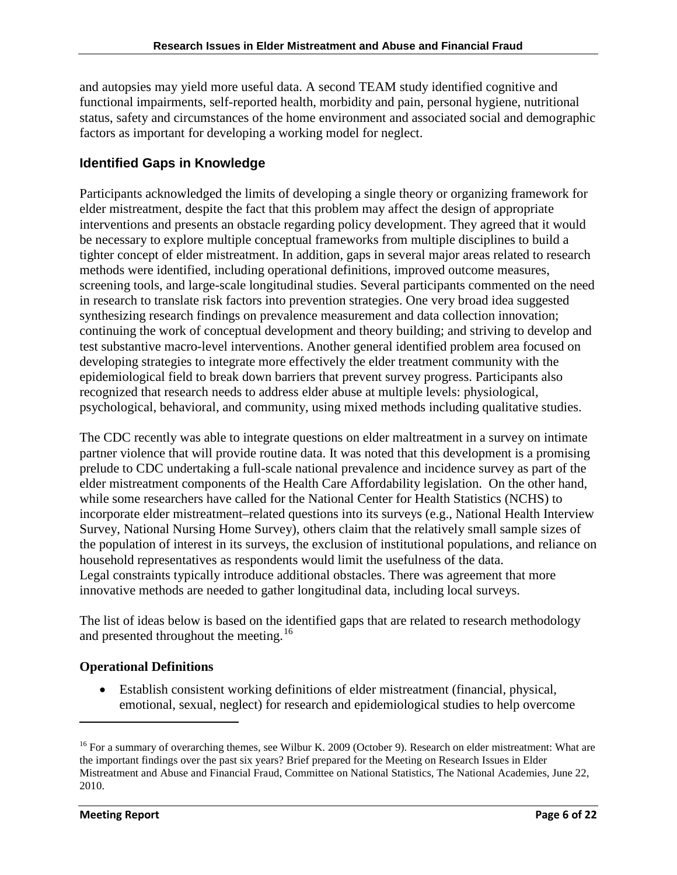and autopsies may yield more useful data. A second TEAM study identified cognitive and functional impairments, self-reported health, morbidity and pain, personal hygiene, nutritional status, safety and circumstances of the home environment and associated social and demographic factors as important for developing a working model for neglect.

## **Identified Gaps in Knowledge**

Participants acknowledged the limits of developing a single theory or organizing framework for elder mistreatment, despite the fact that this problem may affect the design of appropriate interventions and presents an obstacle regarding policy development. They agreed that it would be necessary to explore multiple conceptual frameworks from multiple disciplines to build a tighter concept of elder mistreatment. In addition, gaps in several major areas related to research methods were identified, including operational definitions, improved outcome measures, screening tools, and large-scale longitudinal studies. Several participants commented on the need in research to translate risk factors into prevention strategies. One very broad idea suggested synthesizing research findings on prevalence measurement and data collection innovation; continuing the work of conceptual development and theory building; and striving to develop and test substantive macro-level interventions. Another general identified problem area focused on developing strategies to integrate more effectively the elder treatment community with the epidemiological field to break down barriers that prevent survey progress. Participants also recognized that research needs to address elder abuse at multiple levels: physiological, psychological, behavioral, and community, using mixed methods including qualitative studies.

The CDC recently was able to integrate questions on elder maltreatment in a survey on intimate partner violence that will provide routine data. It was noted that this development is a promising prelude to CDC undertaking a full-scale national prevalence and incidence survey as part of the elder mistreatment components of the Health Care Affordability legislation. On the other hand, while some researchers have called for the National Center for Health Statistics (NCHS) to incorporate elder mistreatment–related questions into its surveys (e.g., National Health Interview Survey, National Nursing Home Survey), others claim that the relatively small sample sizes of the population of interest in its surveys, the exclusion of institutional populations, and reliance on household representatives as respondents would limit the usefulness of the data. Legal constraints typically introduce additional obstacles. There was agreement that more innovative methods are needed to gather longitudinal data, including local surveys.

The list of ideas below is based on the identified gaps that are related to research methodology and presented throughout the meeting.<sup>16</sup>

## **Operational Definitions**

• Establish consistent working definitions of elder mistreatment (financial, physical, emotional, sexual, neglect) for research and epidemiological studies to help overcome

<span id="page-5-0"></span><sup>&</sup>lt;sup>16</sup> For a summary of overarching themes, see Wilbur K. 2009 (October 9). Research on elder mistreatment: What are the important findings over the past six years? Brief prepared for the Meeting on Research Issues in Elder Mistreatment and Abuse and Financial Fraud, Committee on National Statistics, The National Academies, June 22, 2010.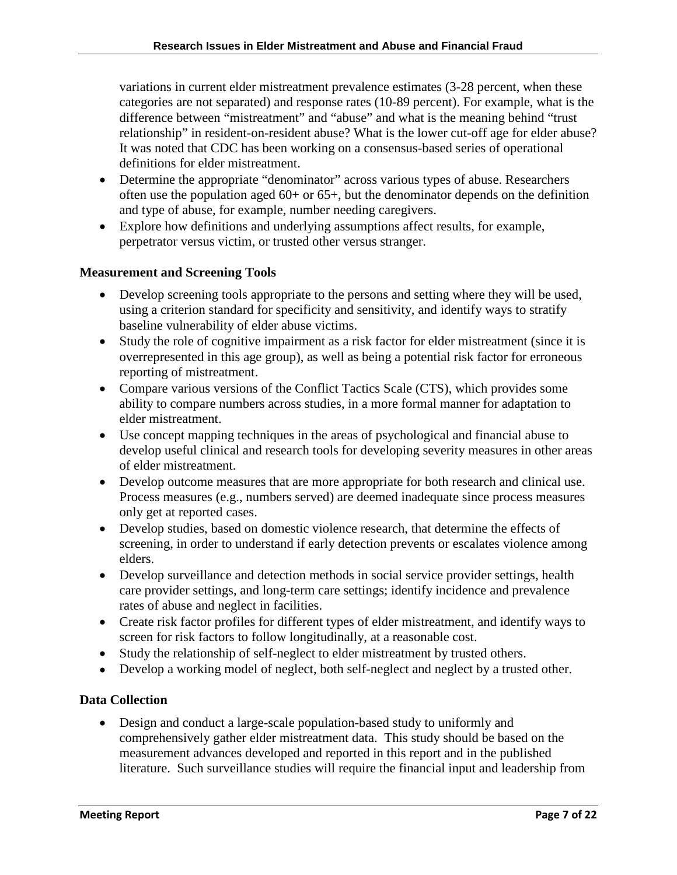variations in current elder mistreatment prevalence estimates (3-28 percent, when these categories are not separated) and response rates (10-89 percent). For example, what is the difference between "mistreatment" and "abuse" and what is the meaning behind "trust relationship" in resident-on-resident abuse? What is the lower cut-off age for elder abuse? It was noted that CDC has been working on a consensus-based series of operational definitions for elder mistreatment.

- Determine the appropriate "denominator" across various types of abuse. Researchers often use the population aged  $60+$  or  $65+$ , but the denominator depends on the definition and type of abuse, for example, number needing caregivers.
- Explore how definitions and underlying assumptions affect results, for example, perpetrator versus victim, or trusted other versus stranger.

#### **Measurement and Screening Tools**

- Develop screening tools appropriate to the persons and setting where they will be used, using a criterion standard for specificity and sensitivity, and identify ways to stratify baseline vulnerability of elder abuse victims.
- Study the role of cognitive impairment as a risk factor for elder mistreatment (since it is overrepresented in this age group), as well as being a potential risk factor for erroneous reporting of mistreatment.
- Compare various versions of the Conflict Tactics Scale (CTS), which provides some ability to compare numbers across studies, in a more formal manner for adaptation to elder mistreatment.
- Use concept mapping techniques in the areas of psychological and financial abuse to develop useful clinical and research tools for developing severity measures in other areas of elder mistreatment.
- Develop outcome measures that are more appropriate for both research and clinical use. Process measures (e.g., numbers served) are deemed inadequate since process measures only get at reported cases.
- Develop studies, based on domestic violence research, that determine the effects of screening, in order to understand if early detection prevents or escalates violence among elders.
- Develop surveillance and detection methods in social service provider settings, health care provider settings, and long-term care settings; identify incidence and prevalence rates of abuse and neglect in facilities.
- Create risk factor profiles for different types of elder mistreatment, and identify ways to screen for risk factors to follow longitudinally, at a reasonable cost.
- Study the relationship of self-neglect to elder mistreatment by trusted others.
- Develop a working model of neglect, both self-neglect and neglect by a trusted other.

## **Data Collection**

• Design and conduct a large-scale population-based study to uniformly and comprehensively gather elder mistreatment data. This study should be based on the measurement advances developed and reported in this report and in the published literature. Such surveillance studies will require the financial input and leadership from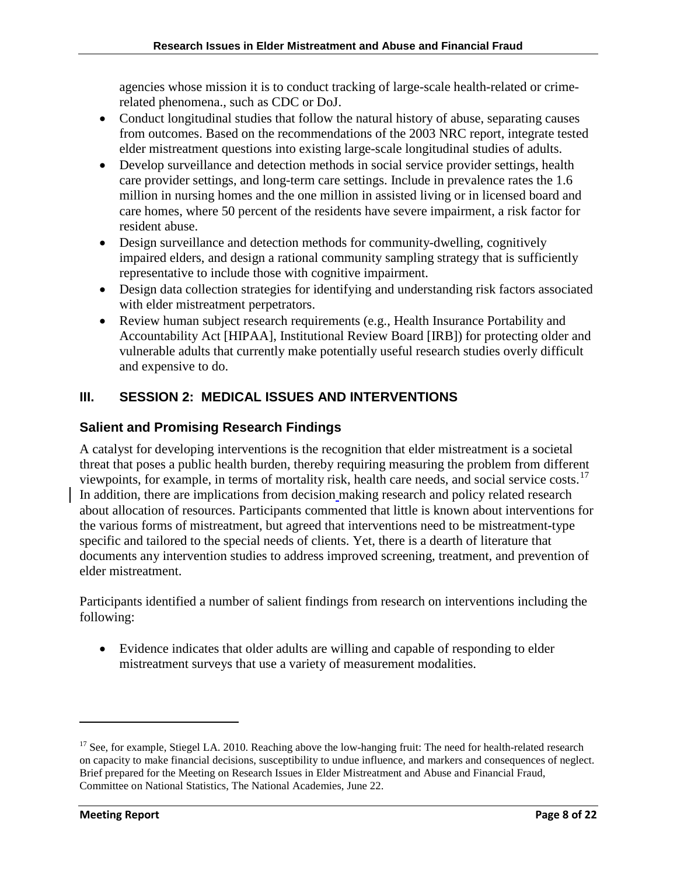agencies whose mission it is to conduct tracking of large-scale health-related or crimerelated phenomena., such as CDC or DoJ.

- Conduct longitudinal studies that follow the natural history of abuse, separating causes from outcomes. Based on the recommendations of the 2003 NRC report, integrate tested elder mistreatment questions into existing large-scale longitudinal studies of adults.
- Develop surveillance and detection methods in social service provider settings, health care provider settings, and long-term care settings. Include in prevalence rates the 1.6 million in nursing homes and the one million in assisted living or in licensed board and care homes, where 50 percent of the residents have severe impairment, a risk factor for resident abuse.
- Design surveillance and detection methods for community-dwelling, cognitively impaired elders, and design a rational community sampling strategy that is sufficiently representative to include those with cognitive impairment.
- Design data collection strategies for identifying and understanding risk factors associated with elder mistreatment perpetrators.
- Review human subject research requirements (e.g., Health Insurance Portability and Accountability Act [HIPAA], Institutional Review Board [IRB]) for protecting older and vulnerable adults that currently make potentially useful research studies overly difficult and expensive to do.

# **III. SESSION 2: MEDICAL ISSUES AND INTERVENTIONS**

# **Salient and Promising Research Findings**

A catalyst for developing interventions is the recognition that elder mistreatment is a societal threat that poses a public health burden, thereby requiring measuring the problem from different viewpoints, for example, in terms of mortality risk, health care needs, and social service costs.<sup>[17](#page-7-0)</sup> In addition, there are implications from decision making research and policy related research about allocation of resources. Participants commented that little is known about interventions for the various forms of mistreatment, but agreed that interventions need to be mistreatment-type specific and tailored to the special needs of clients. Yet, there is a dearth of literature that documents any intervention studies to address improved screening, treatment, and prevention of elder mistreatment.

Participants identified a number of salient findings from research on interventions including the following:

• Evidence indicates that older adults are willing and capable of responding to elder mistreatment surveys that use a variety of measurement modalities.

<span id="page-7-0"></span><sup>&</sup>lt;sup>17</sup> See, for example, Stiegel LA. 2010. Reaching above the low-hanging fruit: The need for health-related research on capacity to make financial decisions, susceptibility to undue influence, and markers and consequences of neglect. Brief prepared for the Meeting on Research Issues in Elder Mistreatment and Abuse and Financial Fraud, Committee on National Statistics, The National Academies, June 22.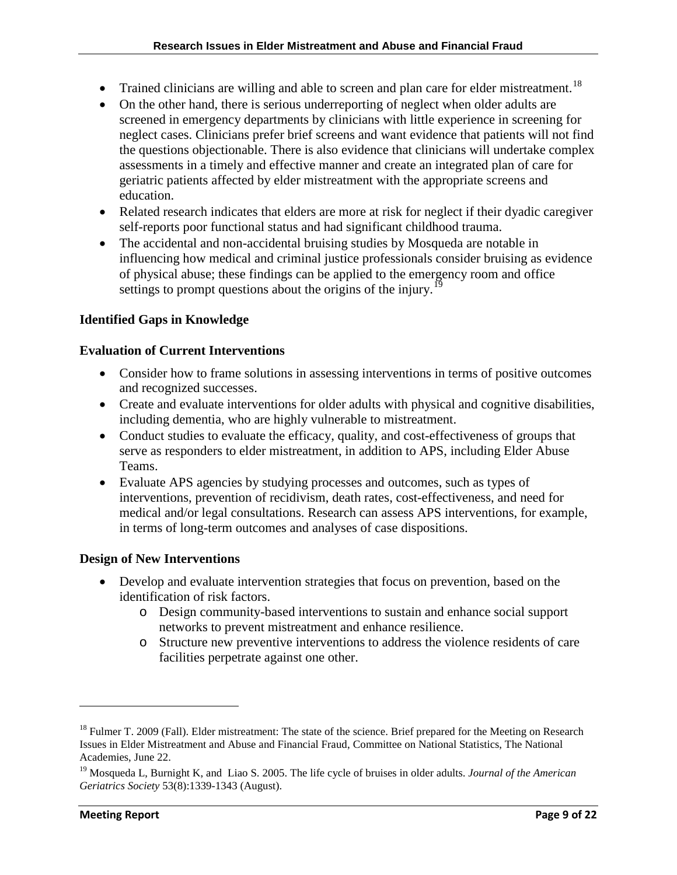- Trained clinicians are willing and able to screen and plan care for elder mistreatment.<sup>[18](#page-8-0)</sup>
- On the other hand, there is serious underreporting of neglect when older adults are screened in emergency departments by clinicians with little experience in screening for neglect cases. Clinicians prefer brief screens and want evidence that patients will not find the questions objectionable. There is also evidence that clinicians will undertake complex assessments in a timely and effective manner and create an integrated plan of care for geriatric patients affected by elder mistreatment with the appropriate screens and education.
- Related research indicates that elders are more at risk for neglect if their dyadic caregiver self-reports poor functional status and had significant childhood trauma.
- The accidental and non-accidental bruising studies by Mosqueda are notable in influencing how medical and criminal justice professionals consider bruising as evidence of physical abuse; these findings can be applied to the emergency room and office settings to prompt questions about the origins of the injury.<sup>[19](#page-8-1)</sup>

## **Identified Gaps in Knowledge**

#### **Evaluation of Current Interventions**

- Consider how to frame solutions in assessing interventions in terms of positive outcomes and recognized successes.
- Create and evaluate interventions for older adults with physical and cognitive disabilities, including dementia, who are highly vulnerable to mistreatment.
- Conduct studies to evaluate the efficacy, quality, and cost-effectiveness of groups that serve as responders to elder mistreatment, in addition to APS, including Elder Abuse Teams.
- Evaluate APS agencies by studying processes and outcomes, such as types of interventions, prevention of recidivism, death rates, cost-effectiveness, and need for medical and/or legal consultations. Research can assess APS interventions, for example, in terms of long-term outcomes and analyses of case dispositions.

## **Design of New Interventions**

- Develop and evaluate intervention strategies that focus on prevention, based on the identification of risk factors.
	- o Design community-based interventions to sustain and enhance social support networks to prevent mistreatment and enhance resilience.
	- o Structure new preventive interventions to address the violence residents of care facilities perpetrate against one other.

 $\overline{\phantom{0}}$ 

<span id="page-8-0"></span><sup>&</sup>lt;sup>18</sup> Fulmer T. 2009 (Fall). Elder mistreatment: The state of the science. Brief prepared for the Meeting on Research Issues in Elder Mistreatment and Abuse and Financial Fraud, Committee on National Statistics, The National Academies, June 22.

<span id="page-8-1"></span><sup>19</sup> Mosqueda L, Burnight K, and Liao S. 2005. The life cycle of bruises in older adults. *Journal of the American Geriatrics Society* 53(8):1339-1343 (August).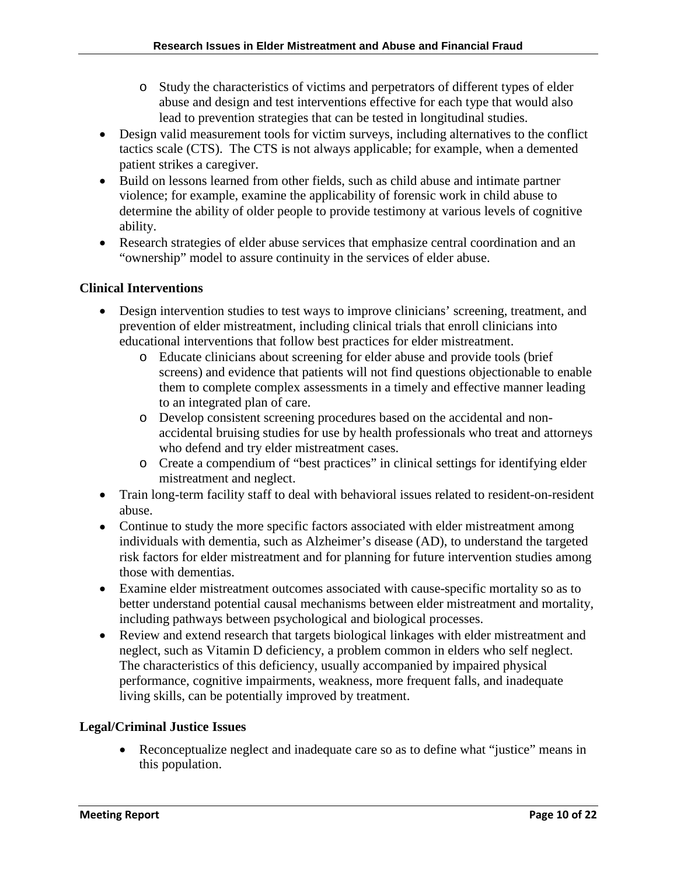- o Study the characteristics of victims and perpetrators of different types of elder abuse and design and test interventions effective for each type that would also lead to prevention strategies that can be tested in longitudinal studies.
- Design valid measurement tools for victim surveys, including alternatives to the conflict tactics scale (CTS). The CTS is not always applicable; for example, when a demented patient strikes a caregiver.
- Build on lessons learned from other fields, such as child abuse and intimate partner violence; for example, examine the applicability of forensic work in child abuse to determine the ability of older people to provide testimony at various levels of cognitive ability.
- Research strategies of elder abuse services that emphasize central coordination and an "ownership" model to assure continuity in the services of elder abuse.

#### **Clinical Interventions**

- Design intervention studies to test ways to improve clinicians' screening, treatment, and prevention of elder mistreatment, including clinical trials that enroll clinicians into educational interventions that follow best practices for elder mistreatment.
	- o Educate clinicians about screening for elder abuse and provide tools (brief screens) and evidence that patients will not find questions objectionable to enable them to complete complex assessments in a timely and effective manner leading to an integrated plan of care.
	- o Develop consistent screening procedures based on the accidental and nonaccidental bruising studies for use by health professionals who treat and attorneys who defend and try elder mistreatment cases.
	- o Create a compendium of "best practices" in clinical settings for identifying elder mistreatment and neglect.
- Train long-term facility staff to deal with behavioral issues related to resident-on-resident abuse.
- Continue to study the more specific factors associated with elder mistreatment among individuals with dementia, such as Alzheimer's disease (AD), to understand the targeted risk factors for elder mistreatment and for planning for future intervention studies among those with dementias.
- Examine elder mistreatment outcomes associated with cause-specific mortality so as to better understand potential causal mechanisms between elder mistreatment and mortality, including pathways between psychological and biological processes.
- Review and extend research that targets biological linkages with elder mistreatment and neglect, such as Vitamin D deficiency, a problem common in elders who self neglect. The characteristics of this deficiency, usually accompanied by impaired physical performance, cognitive impairments, weakness, more frequent falls, and inadequate living skills, can be potentially improved by treatment.

## **Legal/Criminal Justice Issues**

• Reconceptualize neglect and inadequate care so as to define what "justice" means in this population.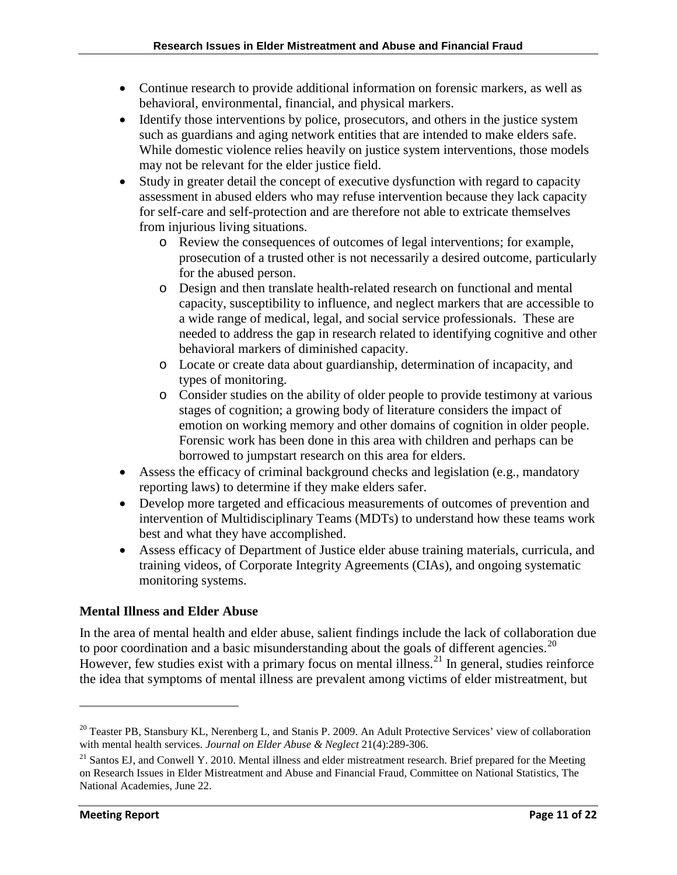- Continue research to provide additional information on forensic markers, as well as behavioral, environmental, financial, and physical markers.
- Identify those interventions by police, prosecutors, and others in the justice system such as guardians and aging network entities that are intended to make elders safe. While domestic violence relies heavily on justice system interventions, those models may not be relevant for the elder justice field.
- Study in greater detail the concept of executive dysfunction with regard to capacity assessment in abused elders who may refuse intervention because they lack capacity for self-care and self-protection and are therefore not able to extricate themselves from injurious living situations.
	- o Review the consequences of outcomes of legal interventions; for example, prosecution of a trusted other is not necessarily a desired outcome, particularly for the abused person.
	- o Design and then translate health-related research on functional and mental capacity, susceptibility to influence, and neglect markers that are accessible to a wide range of medical, legal, and social service professionals. These are needed to address the gap in research related to identifying cognitive and other behavioral markers of diminished capacity.
	- o Locate or create data about guardianship, determination of incapacity, and types of monitoring.
	- o Consider studies on the ability of older people to provide testimony at various stages of cognition; a growing body of literature considers the impact of emotion on working memory and other domains of cognition in older people. Forensic work has been done in this area with children and perhaps can be borrowed to jumpstart research on this area for elders.
- Assess the efficacy of criminal background checks and legislation (e.g., mandatory reporting laws) to determine if they make elders safer.
- Develop more targeted and efficacious measurements of outcomes of prevention and intervention of Multidisciplinary Teams (MDTs) to understand how these teams work best and what they have accomplished.
- Assess efficacy of Department of Justice elder abuse training materials, curricula, and training videos, of Corporate Integrity Agreements (CIAs), and ongoing systematic monitoring systems.

## **Mental Illness and Elder Abuse**

In the area of mental health and elder abuse, salient findings include the lack of collaboration due to poor coordination and a basic misunderstanding about the goals of different agencies.<sup>20</sup> However, few studies exist with a primary focus on mental illness.<sup>[21](#page-10-1)</sup> In general, studies reinforce the idea that symptoms of mental illness are prevalent among victims of elder mistreatment, but

 $\overline{\phantom{0}}$ 

<span id="page-10-0"></span><sup>&</sup>lt;sup>20</sup> Teaster PB, Stansbury KL, Nerenberg L, and Stanis P. 2009. An Adult Protective Services' view of collaboration with mental health services. *Journal on Elder Abuse & Neglect* 21(4):289-306.

<span id="page-10-1"></span><sup>&</sup>lt;sup>21</sup> Santos EJ, and Conwell Y. 2010. Mental illness and elder mistreatment research. Brief prepared for the Meeting on Research Issues in Elder Mistreatment and Abuse and Financial Fraud, Committee on National Statistics, The National Academies, June 22.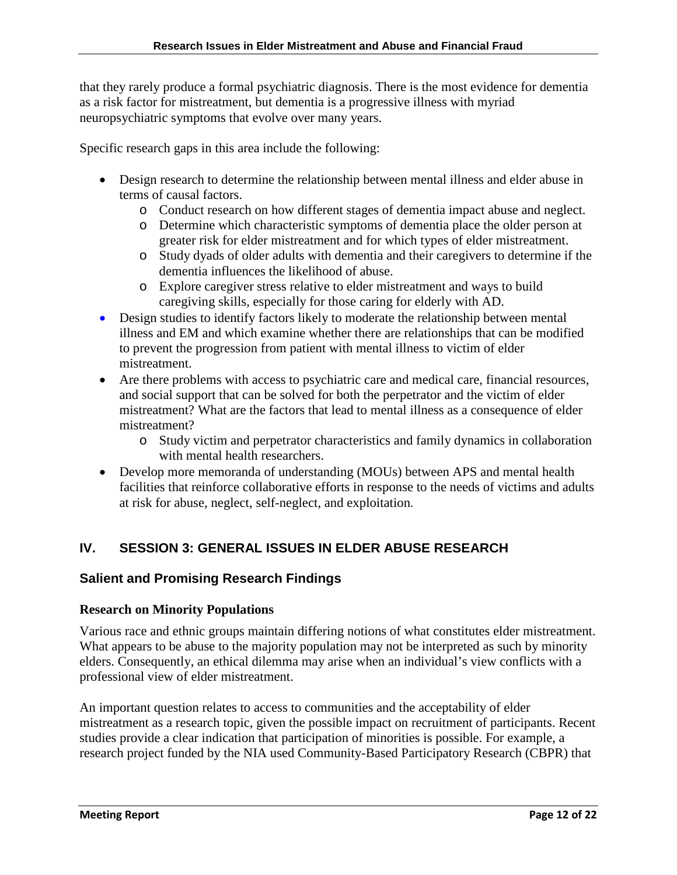that they rarely produce a formal psychiatric diagnosis. There is the most evidence for dementia as a risk factor for mistreatment, but dementia is a progressive illness with myriad neuropsychiatric symptoms that evolve over many years.

Specific research gaps in this area include the following:

- Design research to determine the relationship between mental illness and elder abuse in terms of causal factors.
	- o Conduct research on how different stages of dementia impact abuse and neglect.
	- o Determine which characteristic symptoms of dementia place the older person at greater risk for elder mistreatment and for which types of elder mistreatment.
	- o Study dyads of older adults with dementia and their caregivers to determine if the dementia influences the likelihood of abuse.
	- o Explore caregiver stress relative to elder mistreatment and ways to build caregiving skills, especially for those caring for elderly with AD.
- Design studies to identify factors likely to moderate the relationship between mental illness and EM and which examine whether there are relationships that can be modified to prevent the progression from patient with mental illness to victim of elder mistreatment.
- Are there problems with access to psychiatric care and medical care, financial resources, and social support that can be solved for both the perpetrator and the victim of elder mistreatment? What are the factors that lead to mental illness as a consequence of elder mistreatment?
	- o Study victim and perpetrator characteristics and family dynamics in collaboration with mental health researchers.
- Develop more memoranda of understanding (MOUs) between APS and mental health facilities that reinforce collaborative efforts in response to the needs of victims and adults at risk for abuse, neglect, self-neglect, and exploitation.

# **IV. SESSION 3: GENERAL ISSUES IN ELDER ABUSE RESEARCH**

## **Salient and Promising Research Findings**

#### **Research on Minority Populations**

Various race and ethnic groups maintain differing notions of what constitutes elder mistreatment. What appears to be abuse to the majority population may not be interpreted as such by minority elders. Consequently, an ethical dilemma may arise when an individual's view conflicts with a professional view of elder mistreatment.

An important question relates to access to communities and the acceptability of elder mistreatment as a research topic, given the possible impact on recruitment of participants. Recent studies provide a clear indication that participation of minorities is possible. For example, a research project funded by the NIA used Community-Based Participatory Research (CBPR) that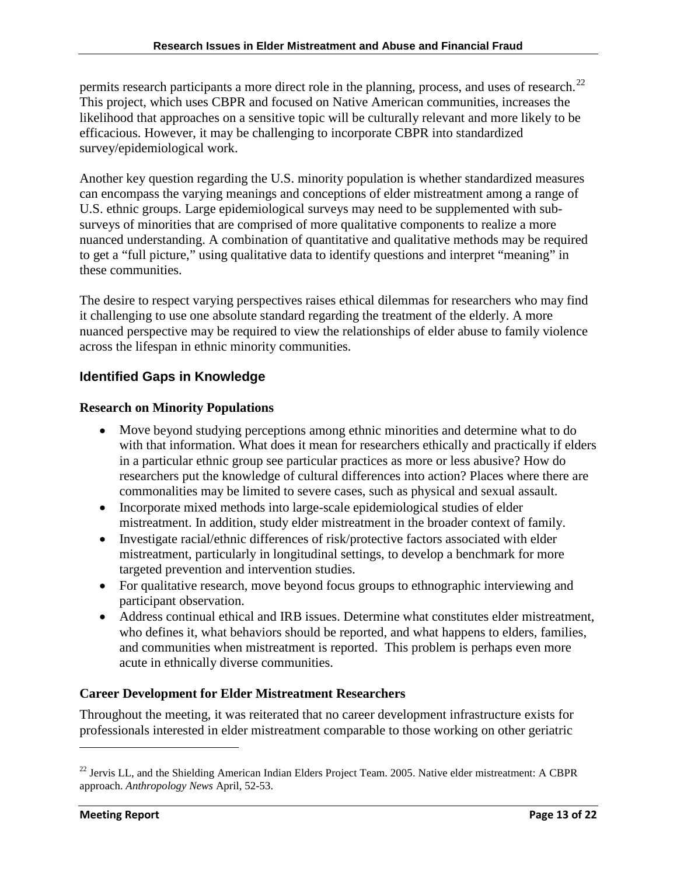permits research participants a more direct role in the planning, process, and uses of research.<sup>[22](#page-12-0)</sup> This project, which uses CBPR and focused on Native American communities, increases the likelihood that approaches on a sensitive topic will be culturally relevant and more likely to be efficacious. However, it may be challenging to incorporate CBPR into standardized survey/epidemiological work.

Another key question regarding the U.S. minority population is whether standardized measures can encompass the varying meanings and conceptions of elder mistreatment among a range of U.S. ethnic groups. Large epidemiological surveys may need to be supplemented with subsurveys of minorities that are comprised of more qualitative components to realize a more nuanced understanding. A combination of quantitative and qualitative methods may be required to get a "full picture," using qualitative data to identify questions and interpret "meaning" in these communities.

The desire to respect varying perspectives raises ethical dilemmas for researchers who may find it challenging to use one absolute standard regarding the treatment of the elderly. A more nuanced perspective may be required to view the relationships of elder abuse to family violence across the lifespan in ethnic minority communities.

## **Identified Gaps in Knowledge**

#### **Research on Minority Populations**

- Move beyond studying perceptions among ethnic minorities and determine what to do with that information. What does it mean for researchers ethically and practically if elders in a particular ethnic group see particular practices as more or less abusive? How do researchers put the knowledge of cultural differences into action? Places where there are commonalities may be limited to severe cases, such as physical and sexual assault.
- Incorporate mixed methods into large-scale epidemiological studies of elder mistreatment. In addition, study elder mistreatment in the broader context of family.
- Investigate racial/ethnic differences of risk/protective factors associated with elder mistreatment, particularly in longitudinal settings, to develop a benchmark for more targeted prevention and intervention studies.
- For qualitative research, move beyond focus groups to ethnographic interviewing and participant observation.
- Address continual ethical and IRB issues. Determine what constitutes elder mistreatment, who defines it, what behaviors should be reported, and what happens to elders, families, and communities when mistreatment is reported. This problem is perhaps even more acute in ethnically diverse communities.

## **Career Development for Elder Mistreatment Researchers**

Throughout the meeting, it was reiterated that no career development infrastructure exists for professionals interested in elder mistreatment comparable to those working on other geriatric

 $\overline{\phantom{0}}$ 

<span id="page-12-0"></span> $^{22}$  Jervis LL, and the Shielding American Indian Elders Project Team. 2005. Native elder mistreatment: A CBPR approach. *Anthropology News* April, 52-53.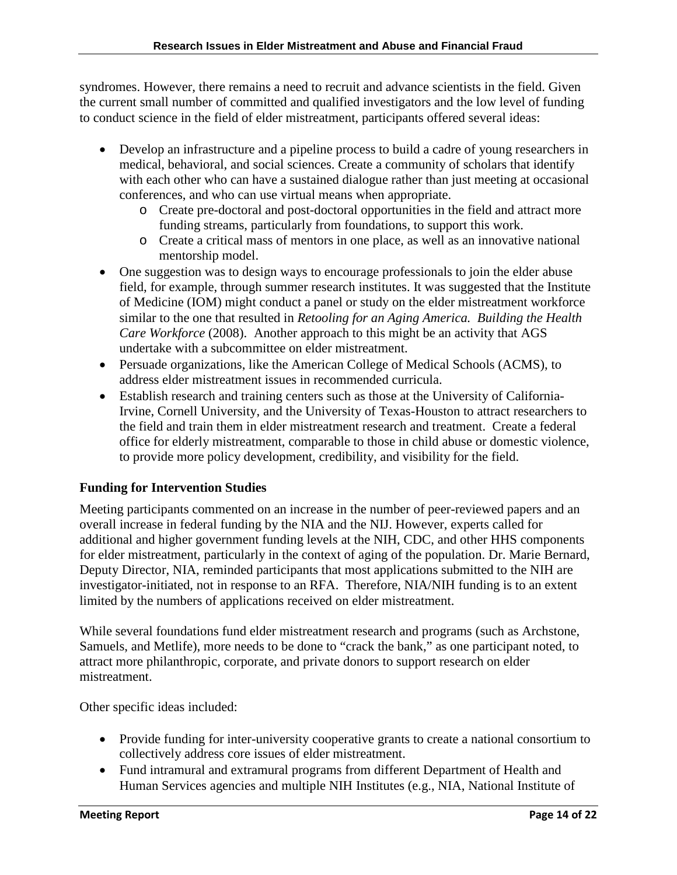syndromes. However, there remains a need to recruit and advance scientists in the field. Given the current small number of committed and qualified investigators and the low level of funding to conduct science in the field of elder mistreatment, participants offered several ideas:

- Develop an infrastructure and a pipeline process to build a cadre of young researchers in medical, behavioral, and social sciences. Create a community of scholars that identify with each other who can have a sustained dialogue rather than just meeting at occasional conferences, and who can use virtual means when appropriate.
	- o Create pre-doctoral and post-doctoral opportunities in the field and attract more funding streams, particularly from foundations, to support this work.
	- o Create a critical mass of mentors in one place, as well as an innovative national mentorship model.
- One suggestion was to design ways to encourage professionals to join the elder abuse field, for example, through summer research institutes. It was suggested that the Institute of Medicine (IOM) might conduct a panel or study on the elder mistreatment workforce similar to the one that resulted in *Retooling for an Aging America. Building the Health Care Workforce* (2008). Another approach to this might be an activity that AGS undertake with a subcommittee on elder mistreatment.
- Persuade organizations, like the American College of Medical Schools (ACMS), to address elder mistreatment issues in recommended curricula.
- Establish research and training centers such as those at the University of California-Irvine, Cornell University, and the University of Texas-Houston to attract researchers to the field and train them in elder mistreatment research and treatment. Create a federal office for elderly mistreatment, comparable to those in child abuse or domestic violence, to provide more policy development, credibility, and visibility for the field.

## **Funding for Intervention Studies**

Meeting participants commented on an increase in the number of peer-reviewed papers and an overall increase in federal funding by the NIA and the NIJ. However, experts called for additional and higher government funding levels at the NIH, CDC, and other HHS components for elder mistreatment, particularly in the context of aging of the population. Dr. Marie Bernard, Deputy Director, NIA, reminded participants that most applications submitted to the NIH are investigator-initiated, not in response to an RFA. Therefore, NIA/NIH funding is to an extent limited by the numbers of applications received on elder mistreatment.

While several foundations fund elder mistreatment research and programs (such as Archstone, Samuels, and Metlife), more needs to be done to "crack the bank," as one participant noted, to attract more philanthropic, corporate, and private donors to support research on elder mistreatment.

Other specific ideas included:

- Provide funding for inter-university cooperative grants to create a national consortium to collectively address core issues of elder mistreatment.
- Fund intramural and extramural programs from different Department of Health and Human Services agencies and multiple NIH Institutes (e.g., NIA, National Institute of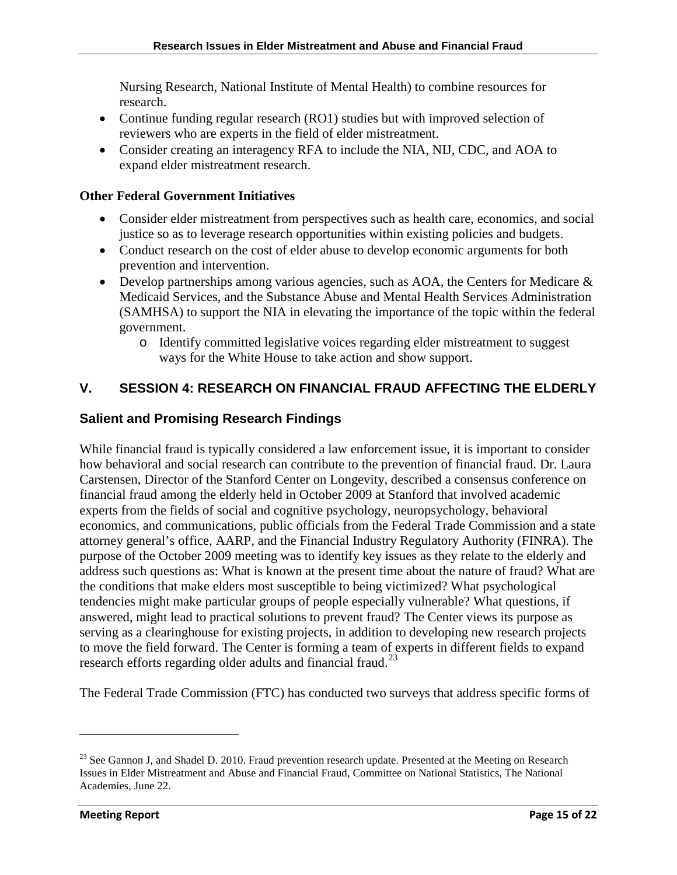Nursing Research, National Institute of Mental Health) to combine resources for research.

- Continue funding regular research (RO1) studies but with improved selection of reviewers who are experts in the field of elder mistreatment.
- Consider creating an interagency RFA to include the NIA, NIJ, CDC, and AOA to expand elder mistreatment research.

#### **Other Federal Government Initiatives**

- Consider elder mistreatment from perspectives such as health care, economics, and social justice so as to leverage research opportunities within existing policies and budgets.
- Conduct research on the cost of elder abuse to develop economic arguments for both prevention and intervention.
- Develop partnerships among various agencies, such as AOA, the Centers for Medicare & Medicaid Services, and the Substance Abuse and Mental Health Services Administration (SAMHSA) to support the NIA in elevating the importance of the topic within the federal government.
	- o Identify committed legislative voices regarding elder mistreatment to suggest ways for the White House to take action and show support.

## **V. SESSION 4: RESEARCH ON FINANCIAL FRAUD AFFECTING THE ELDERLY**

## **Salient and Promising Research Findings**

While financial fraud is typically considered a law enforcement issue, it is important to consider how behavioral and social research can contribute to the prevention of financial fraud. Dr. Laura Carstensen, Director of the Stanford Center on Longevity, described a consensus conference on financial fraud among the elderly held in October 2009 at Stanford that involved academic experts from the fields of social and cognitive psychology, neuropsychology, behavioral economics, and communications, public officials from the Federal Trade Commission and a state attorney general's office, AARP, and the Financial Industry Regulatory Authority (FINRA). The purpose of the October 2009 meeting was to identify key issues as they relate to the elderly and address such questions as: What is known at the present time about the nature of fraud? What are the conditions that make elders most susceptible to being victimized? What psychological tendencies might make particular groups of people especially vulnerable? What questions, if answered, might lead to practical solutions to prevent fraud? The Center views its purpose as serving as a clearinghouse for existing projects, in addition to developing new research projects to move the field forward. The Center is forming a team of experts in different fields to expand research efforts regarding older adults and financial fraud.<sup>[23](#page-14-0)</sup>

The Federal Trade Commission (FTC) has conducted two surveys that address specific forms of

<span id="page-14-0"></span><sup>&</sup>lt;sup>23</sup> See Gannon J, and Shadel D. 2010. Fraud prevention research update. Presented at the Meeting on Research Issues in Elder Mistreatment and Abuse and Financial Fraud, Committee on National Statistics, The National Academies, June 22.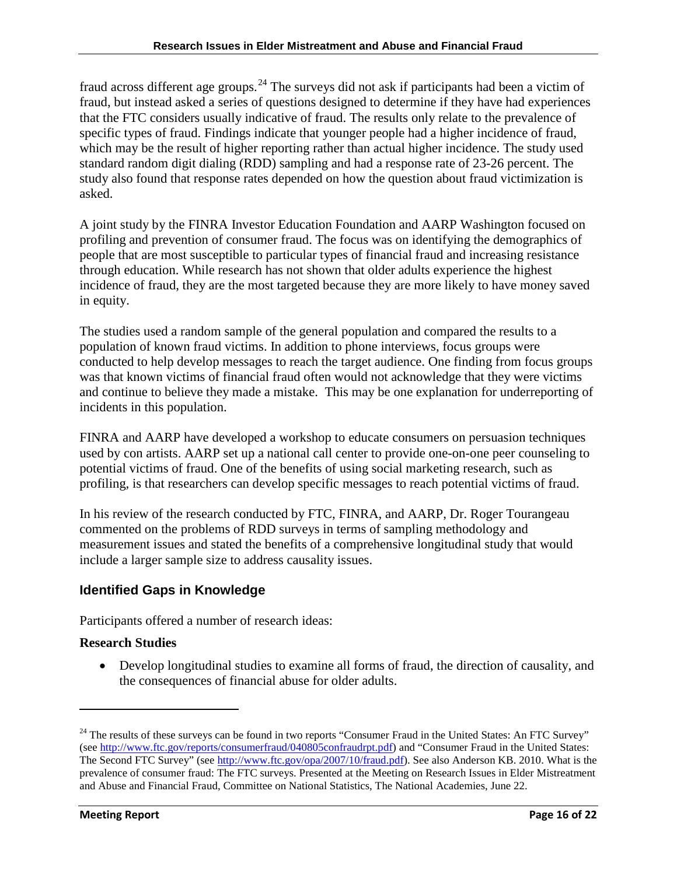fraud across different age groups.<sup>24</sup> The surveys did not ask if participants had been a victim of fraud, but instead asked a series of questions designed to determine if they have had experiences that the FTC considers usually indicative of fraud. The results only relate to the prevalence of specific types of fraud. Findings indicate that younger people had a higher incidence of fraud, which may be the result of higher reporting rather than actual higher incidence. The study used standard random digit dialing (RDD) sampling and had a response rate of 23-26 percent. The study also found that response rates depended on how the question about fraud victimization is asked.

A joint study by the FINRA Investor Education Foundation and AARP Washington focused on profiling and prevention of consumer fraud. The focus was on identifying the demographics of people that are most susceptible to particular types of financial fraud and increasing resistance through education. While research has not shown that older adults experience the highest incidence of fraud, they are the most targeted because they are more likely to have money saved in equity.

The studies used a random sample of the general population and compared the results to a population of known fraud victims. In addition to phone interviews, focus groups were conducted to help develop messages to reach the target audience. One finding from focus groups was that known victims of financial fraud often would not acknowledge that they were victims and continue to believe they made a mistake. This may be one explanation for underreporting of incidents in this population.

FINRA and AARP have developed a workshop to educate consumers on persuasion techniques used by con artists. AARP set up a national call center to provide one-on-one peer counseling to potential victims of fraud. One of the benefits of using social marketing research, such as profiling, is that researchers can develop specific messages to reach potential victims of fraud.

In his review of the research conducted by FTC, FINRA, and AARP, Dr. Roger Tourangeau commented on the problems of RDD surveys in terms of sampling methodology and measurement issues and stated the benefits of a comprehensive longitudinal study that would include a larger sample size to address causality issues.

# **Identified Gaps in Knowledge**

Participants offered a number of research ideas:

## **Research Studies**

 $\overline{\phantom{0}}$ 

• Develop longitudinal studies to examine all forms of fraud, the direction of causality, and the consequences of financial abuse for older adults.

<span id="page-15-0"></span> $24$  The results of these surveys can be found in two reports "Consumer Fraud in the United States: An FTC Survey" (se[e http://www.ftc.gov/reports/consumerfraud/040805confraudrpt.pdf\)](http://www.ftc.gov/reports/consumerfraud/040805confraudrpt.pdf) and "Consumer Fraud in the United States: The Second FTC Survey" (se[e http://www.ftc.gov/opa/2007/10/fraud.pdf\)](http://www.ftc.gov/opa/2007/10/fraud.pdf). See also Anderson KB. 2010. What is the prevalence of consumer fraud: The FTC surveys. Presented at the Meeting on Research Issues in Elder Mistreatment and Abuse and Financial Fraud, Committee on National Statistics, The National Academies, June 22.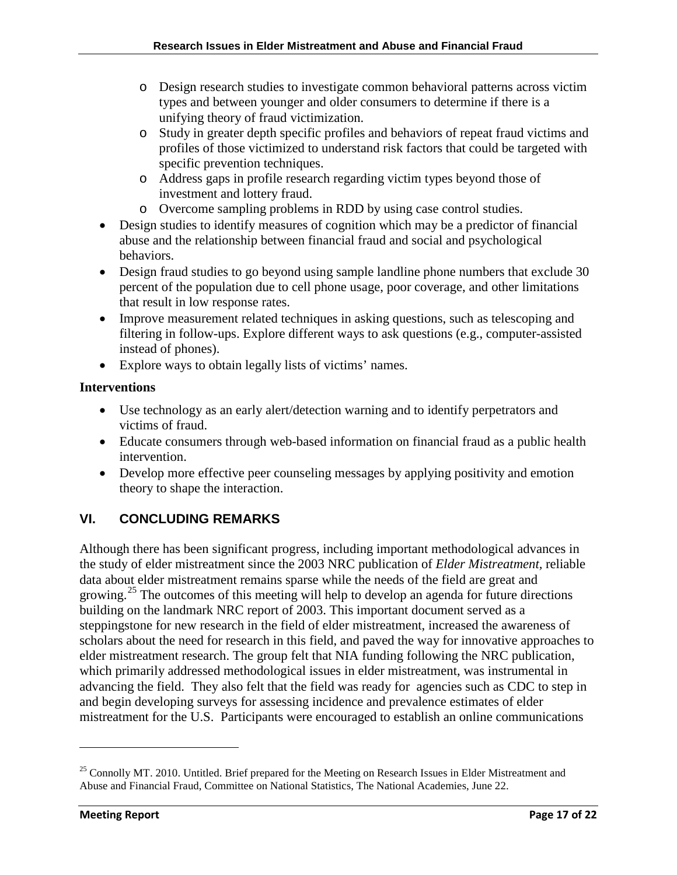- o Design research studies to investigate common behavioral patterns across victim types and between younger and older consumers to determine if there is a unifying theory of fraud victimization.
- o Study in greater depth specific profiles and behaviors of repeat fraud victims and profiles of those victimized to understand risk factors that could be targeted with specific prevention techniques.
- o Address gaps in profile research regarding victim types beyond those of investment and lottery fraud.
- o Overcome sampling problems in RDD by using case control studies.
- Design studies to identify measures of cognition which may be a predictor of financial abuse and the relationship between financial fraud and social and psychological behaviors.
- Design fraud studies to go beyond using sample landline phone numbers that exclude 30 percent of the population due to cell phone usage, poor coverage, and other limitations that result in low response rates.
- Improve measurement related techniques in asking questions, such as telescoping and filtering in follow-ups. Explore different ways to ask questions (e.g., computer-assisted instead of phones).
- Explore ways to obtain legally lists of victims' names.

# **Interventions**

- Use technology as an early alert/detection warning and to identify perpetrators and victims of fraud.
- Educate consumers through web-based information on financial fraud as a public health intervention.
- Develop more effective peer counseling messages by applying positivity and emotion theory to shape the interaction.

# **VI. CONCLUDING REMARKS**

Although there has been significant progress, including important methodological advances in the study of elder mistreatment since the 2003 NRC publication of *Elder Mistreatment,* reliable data about elder mistreatment remains sparse while the needs of the field are great and growing.<sup>[25](#page-16-0)</sup> The outcomes of this meeting will help to develop an agenda for future directions building on the landmark NRC report of 2003. This important document served as a steppingstone for new research in the field of elder mistreatment, increased the awareness of scholars about the need for research in this field, and paved the way for innovative approaches to elder mistreatment research. The group felt that NIA funding following the NRC publication, which primarily addressed methodological issues in elder mistreatment, was instrumental in advancing the field. They also felt that the field was ready for agencies such as CDC to step in and begin developing surveys for assessing incidence and prevalence estimates of elder mistreatment for the U.S. Participants were encouraged to establish an online communications

 $\overline{\phantom{0}}$ 

<span id="page-16-0"></span><sup>&</sup>lt;sup>25</sup> Connolly MT. 2010. Untitled. Brief prepared for the Meeting on Research Issues in Elder Mistreatment and Abuse and Financial Fraud, Committee on National Statistics, The National Academies, June 22.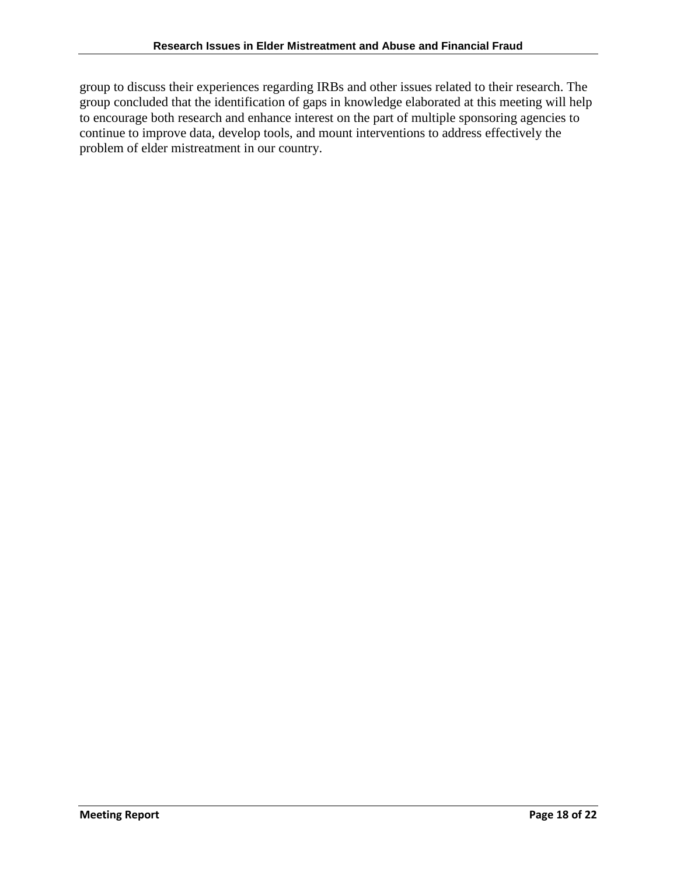group to discuss their experiences regarding IRBs and other issues related to their research. The group concluded that the identification of gaps in knowledge elaborated at this meeting will help to encourage both research and enhance interest on the part of multiple sponsoring agencies to continue to improve data, develop tools, and mount interventions to address effectively the problem of elder mistreatment in our country.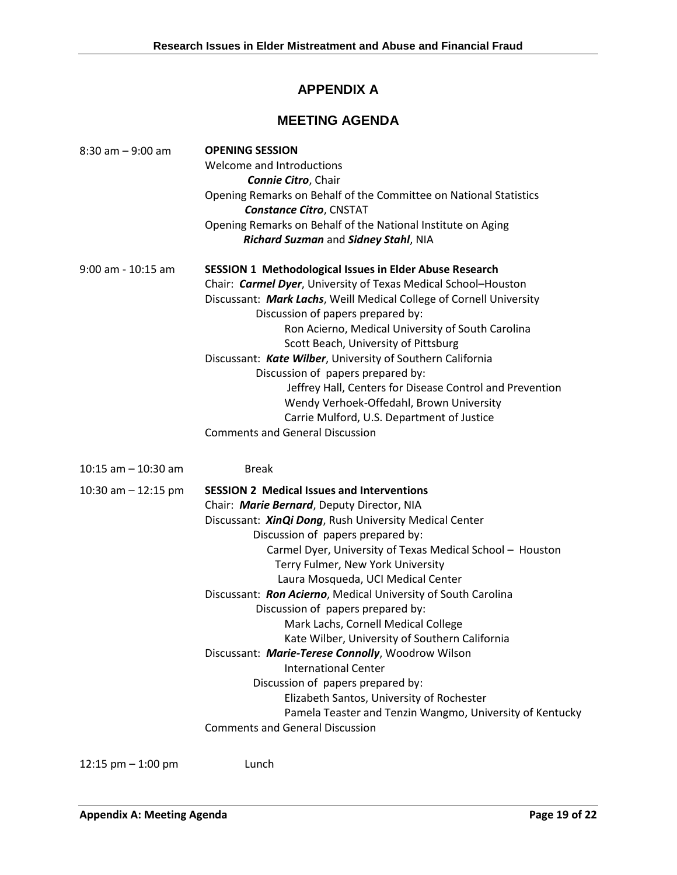# **APPENDIX A**

# **MEETING AGENDA**

| $8:30$ am $-9:00$ am   | <b>OPENING SESSION</b><br>Welcome and Introductions<br><b>Connie Citro, Chair</b><br>Opening Remarks on Behalf of the Committee on National Statistics<br><b>Constance Citro, CNSTAT</b><br>Opening Remarks on Behalf of the National Institute on Aging<br>Richard Suzman and Sidney Stahl, NIA                                                                                                                                                                                                                                                                                                                                                                                                                                                                                                                          |
|------------------------|---------------------------------------------------------------------------------------------------------------------------------------------------------------------------------------------------------------------------------------------------------------------------------------------------------------------------------------------------------------------------------------------------------------------------------------------------------------------------------------------------------------------------------------------------------------------------------------------------------------------------------------------------------------------------------------------------------------------------------------------------------------------------------------------------------------------------|
| $9:00$ am - 10:15 am   | <b>SESSION 1 Methodological Issues in Elder Abuse Research</b><br>Chair: Carmel Dyer, University of Texas Medical School-Houston<br>Discussant: Mark Lachs, Weill Medical College of Cornell University<br>Discussion of papers prepared by:<br>Ron Acierno, Medical University of South Carolina<br>Scott Beach, University of Pittsburg<br>Discussant: Kate Wilber, University of Southern California<br>Discussion of papers prepared by:<br>Jeffrey Hall, Centers for Disease Control and Prevention<br>Wendy Verhoek-Offedahl, Brown University<br>Carrie Mulford, U.S. Department of Justice<br><b>Comments and General Discussion</b>                                                                                                                                                                              |
| $10:15$ am $-10:30$ am | <b>Break</b>                                                                                                                                                                                                                                                                                                                                                                                                                                                                                                                                                                                                                                                                                                                                                                                                              |
| 10:30 am $-$ 12:15 pm  | <b>SESSION 2 Medical Issues and Interventions</b><br>Chair: Marie Bernard, Deputy Director, NIA<br>Discussant: <i>XinQi Dong</i> , Rush University Medical Center<br>Discussion of papers prepared by:<br>Carmel Dyer, University of Texas Medical School - Houston<br>Terry Fulmer, New York University<br>Laura Mosqueda, UCI Medical Center<br>Discussant: Ron Acierno, Medical University of South Carolina<br>Discussion of papers prepared by:<br>Mark Lachs, Cornell Medical College<br>Kate Wilber, University of Southern California<br>Discussant: Marie-Terese Connolly, Woodrow Wilson<br><b>International Center</b><br>Discussion of papers prepared by:<br>Elizabeth Santos, University of Rochester<br>Pamela Teaster and Tenzin Wangmo, University of Kentucky<br><b>Comments and General Discussion</b> |

12:15 pm – 1:00 pm Lunch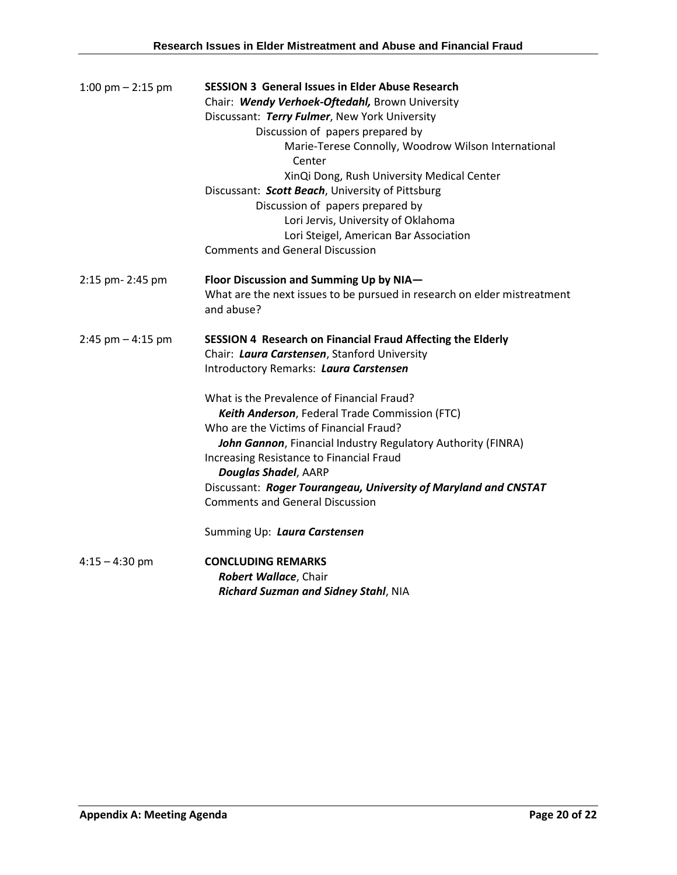| 1:00 pm $-$ 2:15 pm  | <b>SESSION 3 General Issues in Elder Abuse Research</b>                                |
|----------------------|----------------------------------------------------------------------------------------|
|                      | Chair: Wendy Verhoek-Oftedahl, Brown University                                        |
|                      | Discussant: Terry Fulmer, New York University                                          |
|                      | Discussion of papers prepared by                                                       |
|                      | Marie-Terese Connolly, Woodrow Wilson International<br>Center                          |
|                      | XinQi Dong, Rush University Medical Center                                             |
|                      | Discussant: Scott Beach, University of Pittsburg                                       |
|                      | Discussion of papers prepared by                                                       |
|                      | Lori Jervis, University of Oklahoma                                                    |
|                      | Lori Steigel, American Bar Association                                                 |
|                      | <b>Comments and General Discussion</b>                                                 |
|                      |                                                                                        |
| 2:15 pm- 2:45 pm     | Floor Discussion and Summing Up by NIA-                                                |
|                      | What are the next issues to be pursued in research on elder mistreatment<br>and abuse? |
| $2:45$ pm $-4:15$ pm | <b>SESSION 4 Research on Financial Fraud Affecting the Elderly</b>                     |
|                      | Chair: Laura Carstensen, Stanford University                                           |
|                      | Introductory Remarks: Laura Carstensen                                                 |
|                      | What is the Prevalence of Financial Fraud?                                             |
|                      | Keith Anderson, Federal Trade Commission (FTC)                                         |
|                      | Who are the Victims of Financial Fraud?                                                |
|                      | John Gannon, Financial Industry Regulatory Authority (FINRA)                           |
|                      | Increasing Resistance to Financial Fraud                                               |
|                      | <b>Douglas Shadel, AARP</b>                                                            |
|                      | Discussant: Roger Tourangeau, University of Maryland and CNSTAT                        |
|                      | <b>Comments and General Discussion</b>                                                 |
|                      | Summing Up: Laura Carstensen                                                           |
| $4:15 - 4:30$ pm     | <b>CONCLUDING REMARKS</b>                                                              |
|                      | Robert Wallace, Chair                                                                  |
|                      | Richard Suzman and Sidney Stahl, NIA                                                   |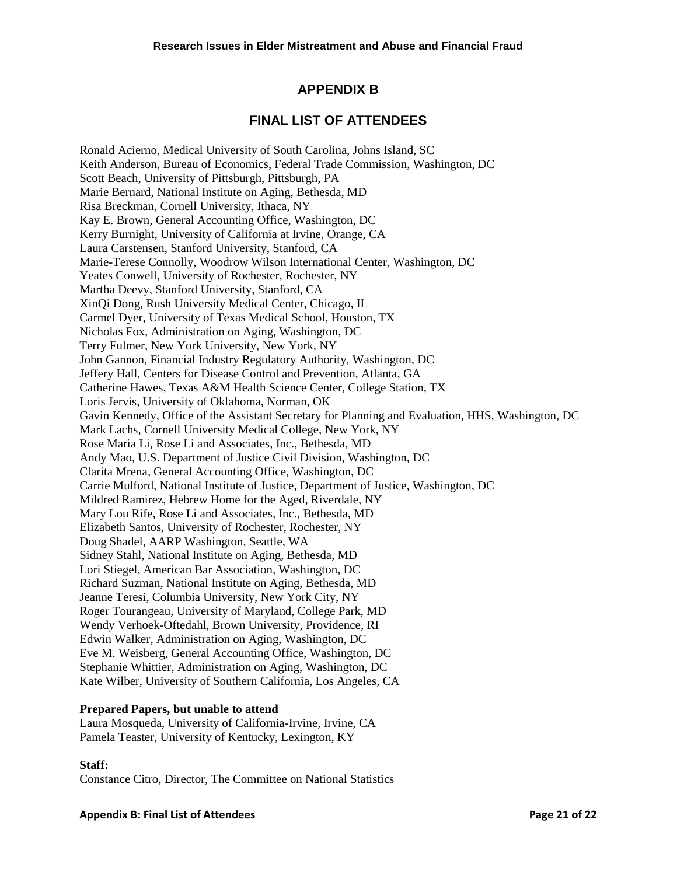# **APPENDIX B**

# **FINAL LIST OF ATTENDEES**

Ronald Acierno, Medical University of South Carolina, Johns Island, SC Keith Anderson, Bureau of Economics, Federal Trade Commission, Washington, DC Scott Beach, University of Pittsburgh, Pittsburgh, PA Marie Bernard, National Institute on Aging, Bethesda, MD Risa Breckman, Cornell University, Ithaca, NY Kay E. Brown, General Accounting Office, Washington, DC Kerry Burnight, University of California at Irvine, Orange, CA Laura Carstensen, Stanford University, Stanford, CA Marie-Terese Connolly, Woodrow Wilson International Center, Washington, DC Yeates Conwell, University of Rochester, Rochester, NY Martha Deevy, Stanford University, Stanford, CA XinQi Dong, Rush University Medical Center, Chicago, IL Carmel Dyer, University of Texas Medical School, Houston, TX Nicholas Fox, Administration on Aging, Washington, DC Terry Fulmer, New York University, New York, NY John Gannon, Financial Industry Regulatory Authority, Washington, DC Jeffery Hall, Centers for Disease Control and Prevention, Atlanta, GA Catherine Hawes, Texas A&M Health Science Center, College Station, TX Loris Jervis, University of Oklahoma, Norman, OK Gavin Kennedy, Office of the Assistant Secretary for Planning and Evaluation, HHS, Washington, DC Mark Lachs, Cornell University Medical College, New York, NY Rose Maria Li, Rose Li and Associates, Inc., Bethesda, MD Andy Mao, U.S. Department of Justice Civil Division, Washington, DC Clarita Mrena, General Accounting Office, Washington, DC Carrie Mulford, National Institute of Justice, Department of Justice, Washington, DC Mildred Ramirez, Hebrew Home for the Aged, Riverdale, NY Mary Lou Rife, Rose Li and Associates, Inc., Bethesda, MD Elizabeth Santos, University of Rochester, Rochester, NY Doug Shadel, AARP Washington, Seattle, WA Sidney Stahl, National Institute on Aging, Bethesda, MD Lori Stiegel, American Bar Association, Washington, DC Richard Suzman, National Institute on Aging, Bethesda, MD Jeanne Teresi, Columbia University, New York City, NY Roger Tourangeau, University of Maryland, College Park, MD Wendy Verhoek-Oftedahl, Brown University, Providence, RI Edwin Walker, Administration on Aging, Washington, DC Eve M. Weisberg, General Accounting Office, Washington, DC Stephanie Whittier, Administration on Aging, Washington, DC Kate Wilber, University of Southern California, Los Angeles, CA

#### **Prepared Papers, but unable to attend**

Laura Mosqueda, University of California-Irvine, Irvine, CA Pamela Teaster, University of Kentucky, Lexington, KY

#### **Staff:**

Constance Citro, Director, The Committee on National Statistics